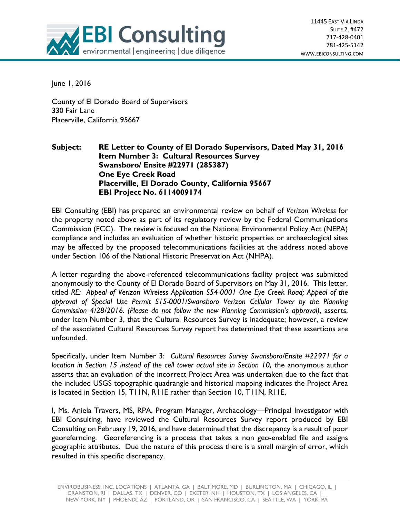

June 1, 2016

County of El Dorado Board of Supervisors 330 Fair Lane Placerville, California 95667

## **Subject: RE Letter to County of El Dorado Supervisors, Dated May 31, 2016 Item Number 3: Cultural Resources Survey Swansboro/ Ensite #22971 (285387) One Eye Creek Road Placerville, El Dorado County, California 95667 EBI Project No. 6114009174**

EBI Consulting (EBI) has prepared an environmental review on behalf of *Verizon Wireless* for the property noted above as part of its regulatory review by the Federal Communications Commission (FCC). The review is focused on the National Environmental Policy Act (NEPA) compliance and includes an evaluation of whether historic properties or archaeological sites may be affected by the proposed telecommunications facilities at the address noted above under Section 106 of the National Historic Preservation Act (NHPA).

A letter regarding the above-referenced telecommunications facility project was submitted anonymously to the County of El Dorado Board of Supervisors on May 31, 2016. This letter, titled *RE: Appeal of Verizon Wireless Application S54-0001 One Eye Creek Road; Appeal of the approval of Special Use Permit S15-0001/Swansboro Verizon Cellular Tower by the Planning Commission 4/28/2016. (Please do not follow the new Planning Commission's approval)*, asserts, under Item Number 3, that the Cultural Resources Survey is inadequate; however, a review of the associated Cultural Resources Survey report has determined that these assertions are unfounded.

Specifically, under Item Number 3: *Cultural Resources Survey Swansboro/Ensite #22971 for a location in Section 15 instead of the cell tower actual site in Section 10*, the anonymous author asserts that an evaluation of the incorrect Project Area was undertaken due to the fact that the included USGS topographic quadrangle and historical mapping indicates the Project Area is located in Section 15, T11N, R11E rather than Section 10, T11N, R11E.

I, Ms. Aniela Travers, MS, RPA, Program Manager, Archaeology—Principal Investigator with EBI Consulting, have reviewed the Cultural Resources Survey report produced by EBI Consulting on February 19, 2016, and have determined that the discrepancy is a result of poor georeferncing. Georeferencing is a process that takes a non geo-enabled file and assigns geographic attributes. Due the nature of this process there is a small margin of error, which resulted in this specific discrepancy.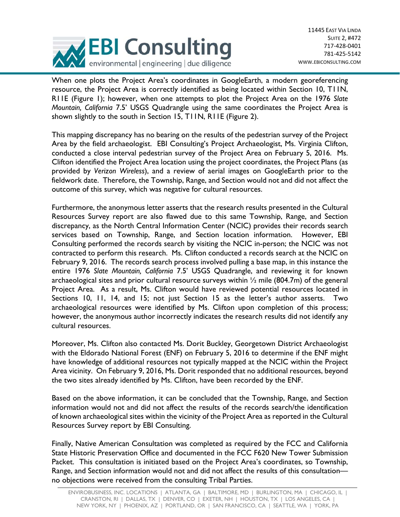

When one plots the Project Area's coordinates in GoogleEarth, a modern georeferencing resource, the Project Area is correctly identified as being located within Section 10, T11N, R11E (Figure 1); however, when one attempts to plot the Project Area on the 1976 *Slate Mountain, California* 7.5' USGS Quadrangle using the same coordinates the Project Area is shown slightly to the south in Section 15, T11N, R11E (Figure 2).

This mapping discrepancy has no bearing on the results of the pedestrian survey of the Project Area by the field archaeologist. EBI Consulting's Project Archaeologist, Ms. Virginia Clifton, conducted a close interval pedestrian survey of the Project Area on February 5, 2016. Ms. Clifton identified the Project Area location using the project coordinates, the Project Plans (as provided by *Verizon Wireless*), and a review of aerial images on GoogleEarth prior to the fieldwork date. Therefore, the Township, Range, and Section would not and did not affect the outcome of this survey, which was negative for cultural resources.

Furthermore, the anonymous letter asserts that the research results presented in the Cultural Resources Survey report are also flawed due to this same Township, Range, and Section discrepancy, as the North Central Information Center (NCIC) provides their records search services based on Township, Range, and Section location information. However, EBI Consulting performed the records search by visiting the NCIC in-person; the NCIC was not contracted to perform this research. Ms. Clifton conducted a records search at the NCIC on February 9, 2016. The records search process involved pulling a base map, in this instance the entire 1976 *Slate Mountain, California* 7.5' USGS Quadrangle, and reviewing it for known archaeological sites and prior cultural resource surveys within  $\frac{1}{2}$  mile (804.7m) of the general Project Area. As a result, Ms. Clifton would have reviewed potential resources located in Sections 10, 11, 14, and 15; not just Section 15 as the letter's author asserts. Two archaeological resources were identified by Ms. Clifton upon completion of this process; however, the anonymous author incorrectly indicates the research results did not identify any cultural resources.

Moreover, Ms. Clifton also contacted Ms. Dorit Buckley, Georgetown District Archaeologist with the Eldorado National Forest (ENF) on February 5, 2016 to determine if the ENF might have knowledge of additional resources not typically mapped at the NCIC within the Project Area vicinity. On February 9, 2016, Ms. Dorit responded that no additional resources, beyond the two sites already identified by Ms. Clifton, have been recorded by the ENF.

Based on the above information, it can be concluded that the Township, Range, and Section information would not and did not affect the results of the records search/the identification of known archaeological sites within the vicinity of the Project Area as reported in the Cultural Resources Survey report by EBI Consulting.

Finally, Native American Consultation was completed as required by the FCC and California State Historic Preservation Office and documented in the FCC F620 New Tower Submission Packet. This consultation is initiated based on the Project Area's coordinates, so Township, Range, and Section information would not and did not affect the results of this consultation no objections were received from the consulting Tribal Parties.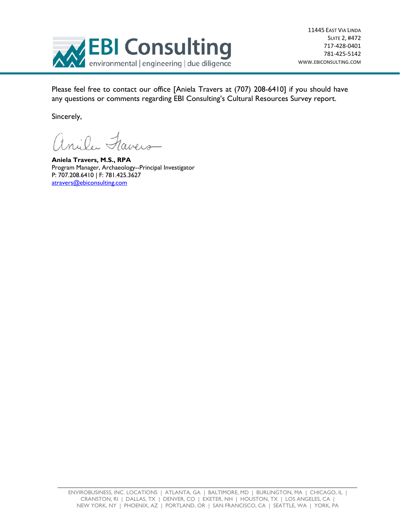

Please feel free to contact our office [Aniela Travers at (707) 208-6410] if you should have any questions or comments regarding EBI Consulting's Cultural Resources Survey report.

Sincerely,

anila Favers

**Aniela Travers, M.S., RPA**  Program Manager, Archaeology--Principal Investigator P: 707.208.6410 | F: 781.425.3627 atravers@ebiconsulting.com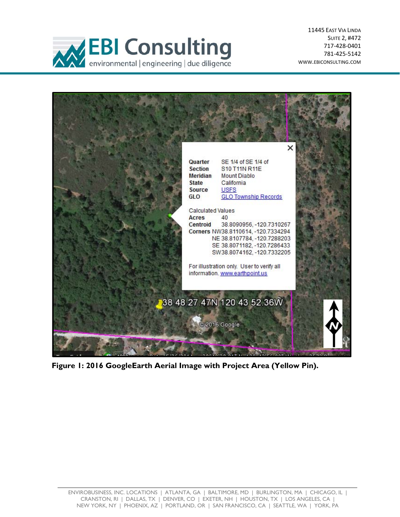

11445 EAST VIA LINDA SUITE 2, #472 717‐428‐0401 781‐425‐5142 WWW.EBICONSULTING.COM



**Figure 1: 2016 GoogleEarth Aerial Image with Project Area (Yellow Pin).**